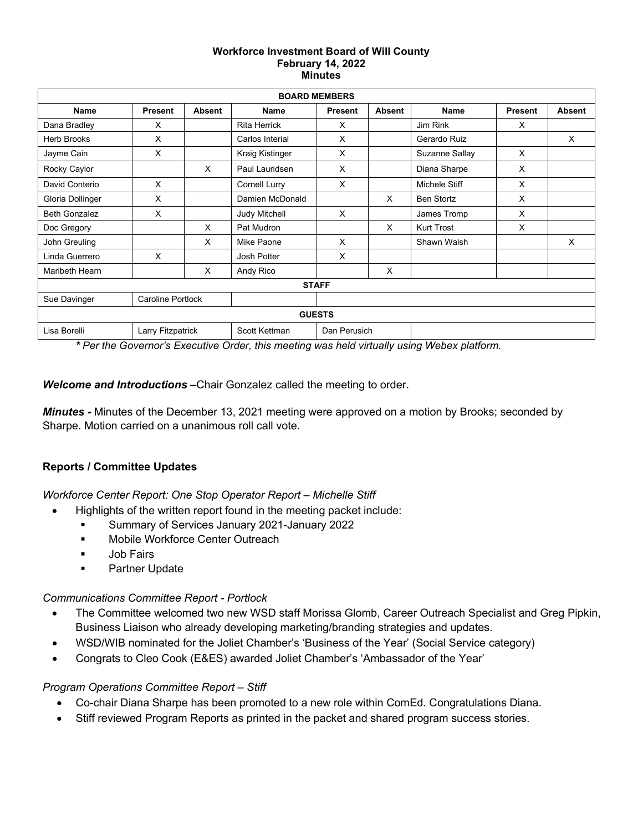#### **Workforce Investment Board of Will County February 14, 2022 Minutes**

| <b>BOARD MEMBERS</b> |                          |               |                     |                |               |                   |                |               |
|----------------------|--------------------------|---------------|---------------------|----------------|---------------|-------------------|----------------|---------------|
| <b>Name</b>          | <b>Present</b>           | <b>Absent</b> | Name                | <b>Present</b> | <b>Absent</b> | Name              | <b>Present</b> | <b>Absent</b> |
| Dana Bradley         | X                        |               | <b>Rita Herrick</b> | X              |               | Jim Rink          | X              |               |
| <b>Herb Brooks</b>   | X                        |               | Carlos Interial     | $\times$       |               | Gerardo Ruiz      |                | X             |
| Jayme Cain           | X                        |               | Kraig Kistinger     | X              |               | Suzanne Sallay    | $\times$       |               |
| Rocky Caylor         |                          | $\times$      | Paul Lauridsen      | $\times$       |               | Diana Sharpe      | X              |               |
| David Conterio       | X                        |               | Cornell Lurry       | $\times$       |               | Michele Stiff     | X              |               |
| Gloria Dollinger     | X                        |               | Damien McDonald     |                | X             | <b>Ben Stortz</b> | X              |               |
| <b>Beth Gonzalez</b> | X                        |               | Judy Mitchell       | X              |               | James Tromp       | X              |               |
| Doc Gregory          |                          | $\times$      | Pat Mudron          |                | X             | <b>Kurt Trost</b> | X              |               |
| John Greuling        |                          | $\times$      | Mike Paone          | X              |               | Shawn Walsh       |                | X             |
| Linda Guerrero       | X                        |               | Josh Potter         | $\times$       |               |                   |                |               |
| Maribeth Hearn       |                          | X             | Andy Rico           |                | X             |                   |                |               |
| <b>STAFF</b>         |                          |               |                     |                |               |                   |                |               |
| Sue Davinger         | <b>Caroline Portlock</b> |               |                     |                |               |                   |                |               |
|                      |                          |               |                     | <b>GUESTS</b>  |               |                   |                |               |
| Lisa Borelli         | Larry Fitzpatrick        |               | Scott Kettman       | Dan Perusich   |               |                   |                |               |

*\* Per the Governor's Executive Order, this meeting was held virtually using Webex platform.* 

*Welcome and Introductions –*Chair Gonzalez called the meeting to order.

*Minutes -* Minutes of the December 13, 2021 meeting were approved on a motion by Brooks; seconded by Sharpe. Motion carried on a unanimous roll call vote.

# **Reports / Committee Updates**

*Workforce Center Report: One Stop Operator Report – Michelle Stiff*

- Highlights of the written report found in the meeting packet include:
	- **Summary of Services January 2021-January 2022**
	- **Mobile Workforce Center Outreach**
	- **Job Fairs**
	- **Partner Update**

### *Communications Committee Report - Portlock*

- The Committee welcomed two new WSD staff Morissa Glomb, Career Outreach Specialist and Greg Pipkin, Business Liaison who already developing marketing/branding strategies and updates.
- WSD/WIB nominated for the Joliet Chamber's 'Business of the Year' (Social Service category)
- Congrats to Cleo Cook (E&ES) awarded Joliet Chamber's 'Ambassador of the Year'

### *Program Operations Committee Report – Stiff*

- Co-chair Diana Sharpe has been promoted to a new role within ComEd. Congratulations Diana.
- Stiff reviewed Program Reports as printed in the packet and shared program success stories.